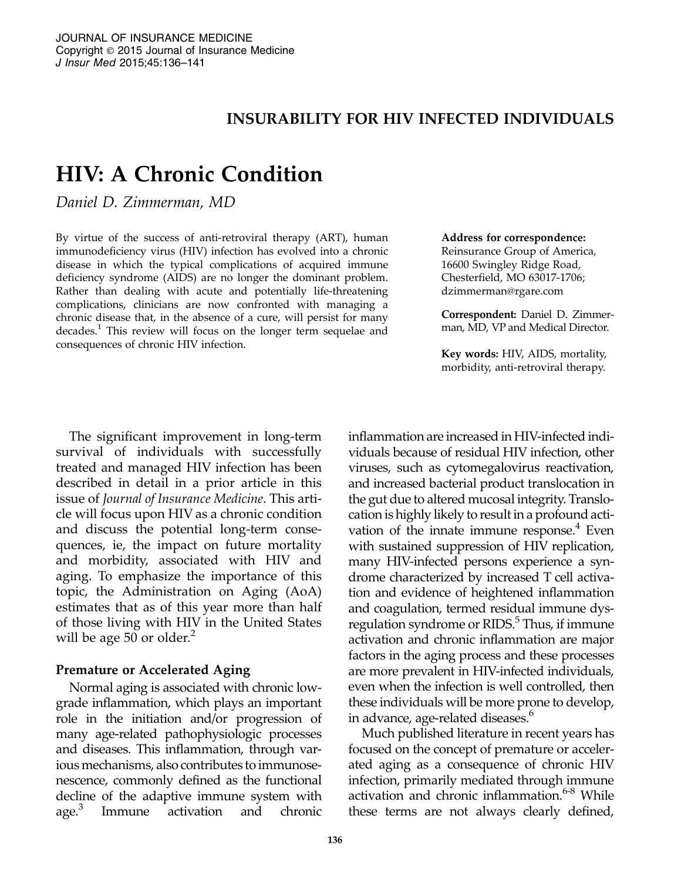# INSURABILITY FOR HIV INFECTED INDIVIDUALS

# HIV: A Chronic Condition

Daniel D. Zimmerman, MD

By virtue of the success of anti-retroviral therapy (ART), human immunodeficiency virus (HIV) infection has evolved into a chronic disease in which the typical complications of acquired immune deficiency syndrome (AIDS) are no longer the dominant problem. Rather than dealing with acute and potentially life-threatening complications, clinicians are now confronted with managing a chronic disease that, in the absence of a cure, will persist for many decades.<sup>1</sup> This review will focus on the longer term sequelae and consequences of chronic HIV infection.

#### Address for correspondence:

Reinsurance Group of America, 16600 Swingley Ridge Road, Chesterfield, MO 63017-1706; dzimmerman@rgare.com

Correspondent: Daniel D. Zimmer‐ man, MD, VP and Medical Director.

Key words: HIV, AIDS, mortality, morbidity, anti-retroviral therapy.

The significant improvement in long-term survival of individuals with successfully treated and managed HIV infection has been described in detail in a prior article in this issue of Journal of Insurance Medicine. This article will focus upon HIV as a chronic condition and discuss the potential long-term consequences, ie, the impact on future mortality and morbidity, associated with HIV and aging. To emphasize the importance of this topic, the Administration on Aging (AoA) estimates that as of this year more than half of those living with HIV in the United States will be age 50 or older. $<sup>2</sup>$ </sup>

#### Premature or Accelerated Aging

Normal aging is associated with chronic lowgrade inflammation, which plays an important role in the initiation and/or progression of many age-related pathophysiologic processes and diseases. This inflammation, through various mechanisms, also contributes to immunosenescence, commonly defined as the functional decline of the adaptive immune system with age.<sup>3</sup> Immune activation and chronic

inflammation are increased in HIV-infected individuals because of residual HIV infection, other viruses, such as cytomegalovirus reactivation, and increased bacterial product translocation in the gut due to altered mucosal integrity. Translocation is highly likely to result in a profound activation of the innate immune response.<sup>4</sup> Even with sustained suppression of HIV replication, many HIV-infected persons experience a syndrome characterized by increased T cell activation and evidence of heightened inflammation and coagulation, termed residual immune dysregulation syndrome or RIDS.<sup>5</sup> Thus, if immune activation and chronic inflammation are major factors in the aging process and these processes are more prevalent in HIV-infected individuals, even when the infection is well controlled, then these individuals will be more prone to develop, in advance, age-related diseases.<sup>6</sup>

Much published literature in recent years has focused on the concept of premature or accelerated aging as a consequence of chronic HIV infection, primarily mediated through immune activation and chronic inflammation.<sup>6-8</sup> While these terms are not always clearly defined,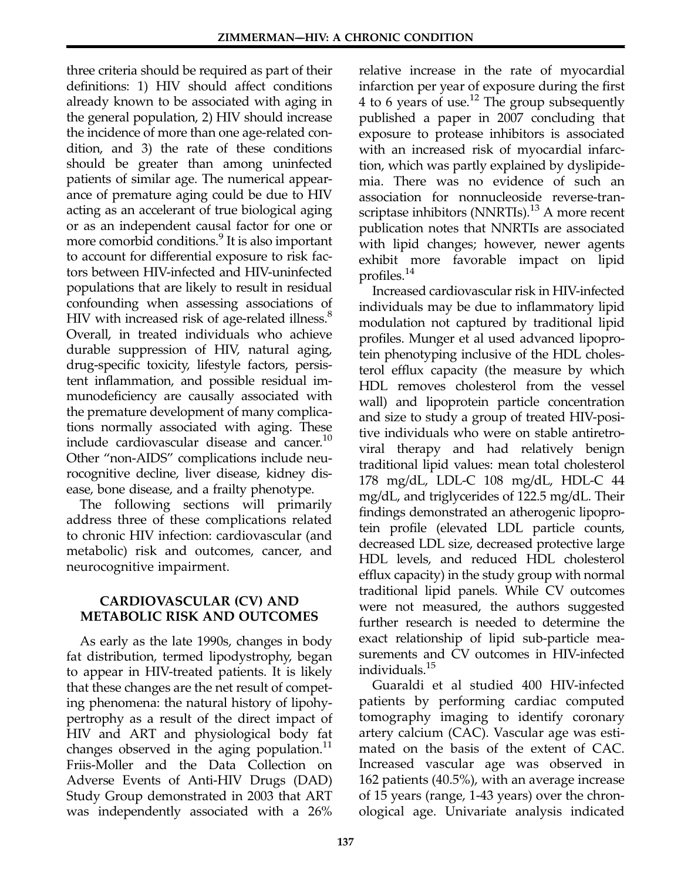three criteria should be required as part of their definitions: 1) HIV should affect conditions already known to be associated with aging in the general population, 2) HIV should increase the incidence of more than one age-related condition, and 3) the rate of these conditions should be greater than among uninfected patients of similar age. The numerical appearance of premature aging could be due to HIV acting as an accelerant of true biological aging or as an independent causal factor for one or more comorbid conditions.<sup>9</sup> It is also important to account for differential exposure to risk factors between HIV-infected and HIV-uninfected populations that are likely to result in residual confounding when assessing associations of HIV with increased risk of age-related illness.<sup>8</sup> Overall, in treated individuals who achieve durable suppression of HIV, natural aging, drug-specific toxicity, lifestyle factors, persistent inflammation, and possible residual im‐ munodeficiency are causally associated with the premature development of many complications normally associated with aging. These include cardiovascular disease and cancer.<sup>10</sup> Other "non-AIDS" complications include neurocognitive decline, liver disease, kidney disease, bone disease, and a frailty phenotype.

The following sections will primarily address three of these complications related to chronic HIV infection: cardiovascular (and metabolic) risk and outcomes, cancer, and neurocognitive impairment.

## CARDIOVASCULAR (CV) AND METABOLIC RISK AND OUTCOMES

As early as the late 1990s, changes in body fat distribution, termed lipodystrophy, began to appear in HIV-treated patients. It is likely that these changes are the net result of competing phenomena: the natural history of lipohypertrophy as a result of the direct impact of HIV and ART and physiological body fat changes observed in the aging population.<sup>11</sup> Friis-Moller and the Data Collection on Adverse Events of Anti-HIV Drugs (DAD) Study Group demonstrated in 2003 that ART was independently associated with a 26%

relative increase in the rate of myocardial infarction per year of exposure during the first 4 to 6 years of use.<sup>12</sup> The group subsequently published a paper in 2007 concluding that exposure to protease inhibitors is associated with an increased risk of myocardial infarction, which was partly explained by dyslipidemia. There was no evidence of such an association for nonnucleoside reverse-transcriptase inhibitors (NNRTIs).<sup>13</sup> A more recent publication notes that NNRTIs are associated with lipid changes; however, newer agents exhibit more favorable impact on lipid profiles.14

Increased cardiovascular risk in HIV-infected individuals may be due to inflammatory lipid modulation not captured by traditional lipid profiles. Munger et al used advanced lipoprotein phenotyping inclusive of the HDL cholesterol efflux capacity (the measure by which HDL removes cholesterol from the vessel wall) and lipoprotein particle concentration and size to study a group of treated HIV-positive individuals who were on stable antiretroviral therapy and had relatively benign traditional lipid values: mean total cholesterol 178 mg/dL, LDL-C 108 mg/dL, HDL-C 44 mg/dL, and triglycerides of 122.5 mg/dL. Their findings demonstrated an atherogenic lipoprotein profile (elevated LDL particle counts, decreased LDL size, decreased protective large HDL levels, and reduced HDL cholesterol efflux capacity) in the study group with normal traditional lipid panels. While CV outcomes were not measured, the authors suggested further research is needed to determine the exact relationship of lipid sub-particle measurements and CV outcomes in HIV-infected individuals.15

Guaraldi et al studied 400 HIV-infected patients by performing cardiac computed tomography imaging to identify coronary artery calcium (CAC). Vascular age was estimated on the basis of the extent of CAC. Increased vascular age was observed in 162 patients (40.5%), with an average increase of 15 years (range, 1-43 years) over the chronological age. Univariate analysis indicated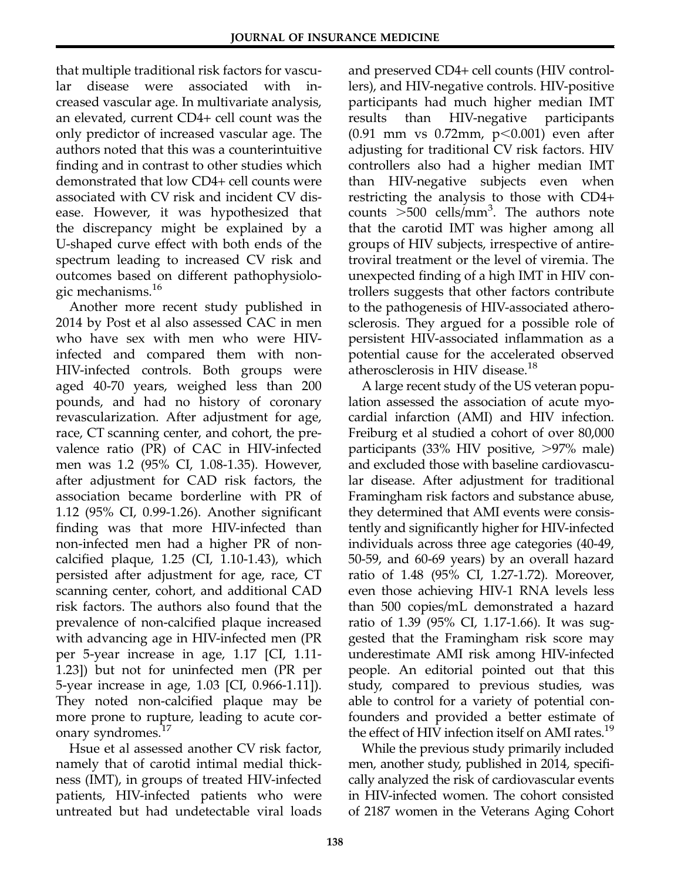that multiple traditional risk factors for vascular disease were associated with in‐ creased vascular age. In multivariate analysis, an elevated, current CD4+ cell count was the only predictor of increased vascular age. The authors noted that this was a counterintuitive finding and in contrast to other studies which demonstrated that low CD4+ cell counts were associated with CV risk and incident CV disease. However, it was hypothesized that the discrepancy might be explained by a U-shaped curve effect with both ends of the spectrum leading to increased CV risk and outcomes based on different pathophysiologic mechanisms.<sup>16</sup>

Another more recent study published in 2014 by Post et al also assessed CAC in men who have sex with men who were HIVinfected and compared them with non-HIV-infected controls. Both groups were aged 40-70 years, weighed less than 200 pounds, and had no history of coronary revascularization. After adjustment for age, race, CT scanning center, and cohort, the prevalence ratio (PR) of CAC in HIV-infected men was 1.2 (95% CI, 1.08-1.35). However, after adjustment for CAD risk factors, the association became borderline with PR of 1.12 (95% CI, 0.99-1.26). Another significant finding was that more HIV-infected than non-infected men had a higher PR of noncalcified plaque, 1.25 (CI, 1.10-1.43), which persisted after adjustment for age, race, CT scanning center, cohort, and additional CAD risk factors. The authors also found that the prevalence of non-calcified plaque increased with advancing age in HIV-infected men (PR per 5-year increase in age, 1.17 [CI, 1.11- 1.23]) but not for uninfected men (PR per 5-year increase in age, 1.03 [CI, 0.966-1.11]). They noted non-calcified plaque may be more prone to rupture, leading to acute coronary syndromes.<sup>17</sup>

Hsue et al assessed another CV risk factor, namely that of carotid intimal medial thickness (IMT), in groups of treated HIV-infected patients, HIV-infected patients who were untreated but had undetectable viral loads and preserved CD4+ cell counts (HIV controllers), and HIV-negative controls. HIV-positive participants had much higher median IMT results than HIV-negative participants  $(0.91$  mm vs  $0.72$ mm,  $p<0.001$ ) even after adjusting for traditional CV risk factors. HIV controllers also had a higher median IMT than HIV-negative subjects even when restricting the analysis to those with CD4+ counts  $>500$  cells/mm<sup>3</sup>. The authors note that the carotid IMT was higher among all groups of HIV subjects, irrespective of antiretroviral treatment or the level of viremia. The unexpected finding of a high IMT in HIV controllers suggests that other factors contribute to the pathogenesis of HIV-associated atherosclerosis. They argued for a possible role of persistent HIV-associated inflammation as a potential cause for the accelerated observed atherosclerosis in HIV disease.<sup>18</sup>

A large recent study of the US veteran population assessed the association of acute myocardial infarction (AMI) and HIV infection. Freiburg et al studied a cohort of over 80,000 participants  $(33\% \text{ HIV positive}, >97\% \text{ male})$ and excluded those with baseline cardiovascular disease. After adjustment for traditional Framingham risk factors and substance abuse, they determined that AMI events were consistently and significantly higher for HIV-infected individuals across three age categories (40-49, 50-59, and 60-69 years) by an overall hazard ratio of 1.48 (95% CI, 1.27-1.72). Moreover, even those achieving HIV-1 RNA levels less than 500 copies/mL demonstrated a hazard ratio of 1.39 (95% CI, 1.17-1.66). It was suggested that the Framingham risk score may underestimate AMI risk among HIV-infected people. An editorial pointed out that this study, compared to previous studies, was able to control for a variety of potential confounders and provided a better estimate of the effect of HIV infection itself on AMI rates.<sup>19</sup>

While the previous study primarily included men, another study, published in 2014, specifically analyzed the risk of cardiovascular events in HIV-infected women. The cohort consisted of 2187 women in the Veterans Aging Cohort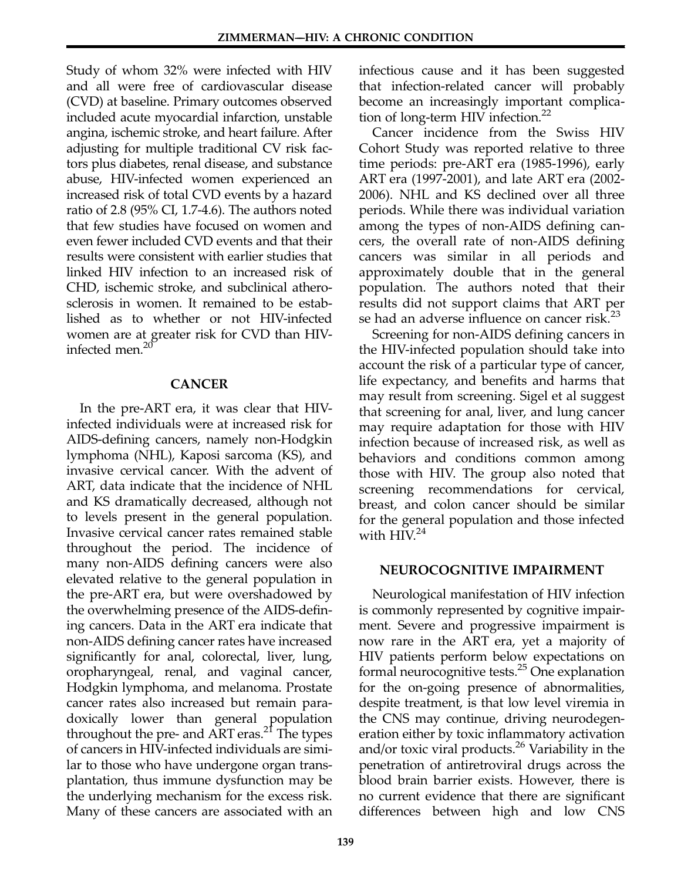Study of whom 32% were infected with HIV and all were free of cardiovascular disease (CVD) at baseline. Primary outcomes observed included acute myocardial infarction, unstable angina, ischemic stroke, and heart failure. After adjusting for multiple traditional CV risk factors plus diabetes, renal disease, and substance abuse, HIV-infected women experienced an increased risk of total CVD events by a hazard ratio of 2.8 (95% CI, 1.7-4.6). The authors noted that few studies have focused on women and even fewer included CVD events and that their results were consistent with earlier studies that linked HIV infection to an increased risk of CHD, ischemic stroke, and subclinical atherosclerosis in women. It remained to be established as to whether or not HIV-infected women are at greater risk for CVD than HIVinfected men.<sup>20</sup>

#### CANCER

In the pre-ART era, it was clear that HIVinfected individuals were at increased risk for AIDS-defining cancers, namely non-Hodgkin lymphoma (NHL), Kaposi sarcoma (KS), and invasive cervical cancer. With the advent of ART, data indicate that the incidence of NHL and KS dramatically decreased, although not to levels present in the general population. Invasive cervical cancer rates remained stable throughout the period. The incidence of many non-AIDS defining cancers were also elevated relative to the general population in the pre-ART era, but were overshadowed by the overwhelming presence of the AIDS-defining cancers. Data in the ART era indicate that non-AIDS defining cancer rates have increased significantly for anal, colorectal, liver, lung, oropharyngeal, renal, and vaginal cancer, Hodgkin lymphoma, and melanoma. Prostate cancer rates also increased but remain paradoxically lower than general population throughout the pre- and ART eras.<sup>21</sup> The types of cancers in HIV-infected individuals are similar to those who have undergone organ transplantation, thus immune dysfunction may be the underlying mechanism for the excess risk. Many of these cancers are associated with an infectious cause and it has been suggested that infection-related cancer will probably become an increasingly important complication of long-term HIV infection. $^{22}$ 

Cancer incidence from the Swiss HIV Cohort Study was reported relative to three time periods: pre-ART era (1985-1996), early ART era (1997-2001), and late ART era (2002- 2006). NHL and KS declined over all three periods. While there was individual variation among the types of non-AIDS defining cancers, the overall rate of non-AIDS defining cancers was similar in all periods and approximately double that in the general population. The authors noted that their results did not support claims that ART per se had an adverse influence on cancer risk. $^{23}$ 

Screening for non-AIDS defining cancers in the HIV-infected population should take into account the risk of a particular type of cancer, life expectancy, and benefits and harms that may result from screening. Sigel et al suggest that screening for anal, liver, and lung cancer may require adaptation for those with HIV infection because of increased risk, as well as behaviors and conditions common among those with HIV. The group also noted that screening recommendations for cervical, breast, and colon cancer should be similar for the general population and those infected with  $HIV.<sup>24</sup>$ 

#### NEUROCOGNITIVE IMPAIRMENT

Neurological manifestation of HIV infection is commonly represented by cognitive impairment. Severe and progressive impairment is now rare in the ART era, yet a majority of HIV patients perform below expectations on formal neurocognitive tests.25 One explanation for the on-going presence of abnormalities, despite treatment, is that low level viremia in the CNS may continue, driving neurodegeneration either by toxic inflammatory activation and/or toxic viral products.<sup>26</sup> Variability in the penetration of antiretroviral drugs across the blood brain barrier exists. However, there is no current evidence that there are significant differences between high and low CNS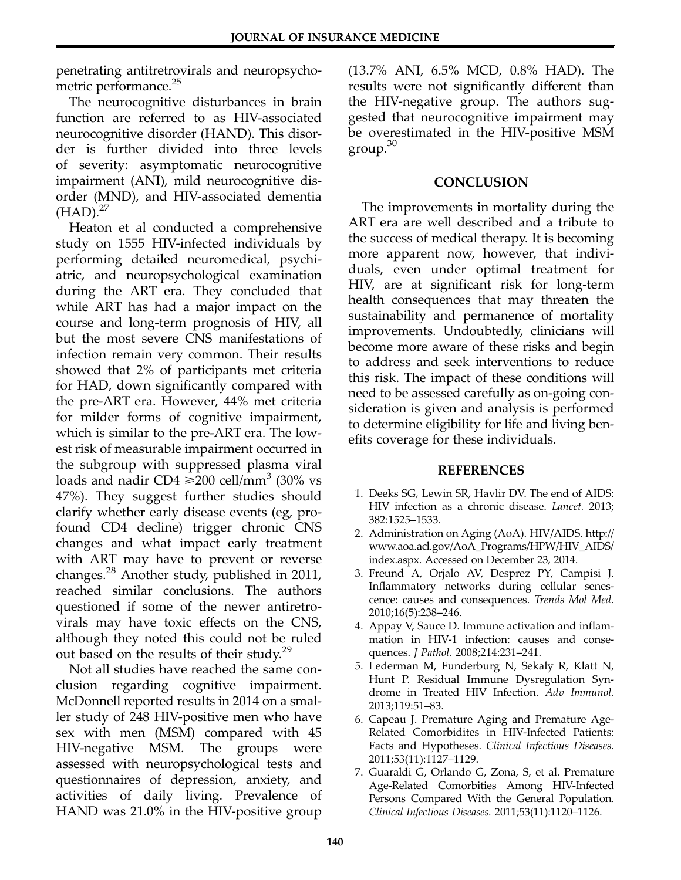penetrating antitretrovirals and neuropsychometric performance.<sup>25</sup>

The neurocognitive disturbances in brain function are referred to as HIV-associated neurocognitive disorder (HAND). This disorder is further divided into three levels of severity: asymptomatic neurocognitive impairment (ANI), mild neurocognitive disorder (MND), and HIV-associated dementia  $(HAD).^{27}$ 

Heaton et al conducted a comprehensive study on 1555 HIV-infected individuals by performing detailed neuromedical, psychi‐ atric, and neuropsychological examination during the ART era. They concluded that while ART has had a major impact on the course and long-term prognosis of HIV, all but the most severe CNS manifestations of infection remain very common. Their results showed that 2% of participants met criteria for HAD, down significantly compared with the pre-ART era. However, 44% met criteria for milder forms of cognitive impairment, which is similar to the pre-ART era. The lowest risk of measurable impairment occurred in the subgroup with suppressed plasma viral loads and nadir CD4  $\geq$ 200 cell/mm<sup>3</sup> (30% vs 47%). They suggest further studies should clarify whether early disease events (eg, profound CD4 decline) trigger chronic CNS changes and what impact early treatment with ART may have to prevent or reverse changes.28 Another study, published in 2011, reached similar conclusions. The authors questioned if some of the newer antiretro‐ virals may have toxic effects on the CNS, although they noted this could not be ruled out based on the results of their study.<sup>29</sup>

Not all studies have reached the same conclusion regarding cognitive impairment. McDonnell reported results in 2014 on a smaller study of 248 HIV-positive men who have sex with men (MSM) compared with 45 HIV-negative MSM. The groups were assessed with neuropsychological tests and questionnaires of depression, anxiety, and activities of daily living. Prevalence of HAND was 21.0% in the HIV-positive group

(13.7% ANI, 6.5% MCD, 0.8% HAD). The results were not significantly different than the HIV-negative group. The authors suggested that neurocognitive impairment may be overestimated in the HIV-positive MSM group. $30$ 

# **CONCLUSION**

The improvements in mortality during the ART era are well described and a tribute to the success of medical therapy. It is becoming more apparent now, however, that individuals, even under optimal treatment for HIV, are at significant risk for long-term health consequences that may threaten the sustainability and permanence of mortality improvements. Undoubtedly, clinicians will become more aware of these risks and begin to address and seek interventions to reduce this risk. The impact of these conditions will need to be assessed carefully as on-going consideration is given and analysis is performed to determine eligibility for life and living benefits coverage for these individuals.

### REFERENCES

- 1. Deeks SG, Lewin SR, Havlir DV. The end of AIDS: HIV infection as a chronic disease. Lancet. 2013; 382:1525–1533.
- 2. Administration on Aging (AoA). HIV/AIDS. http:// www.aoa.acl.gov/AoA\_Programs/HPW/HIV\_AIDS/ index.aspx. Accessed on December 23, 2014.
- 3. Freund A, Orjalo AV, Desprez PY, Campisi J. Inflammatory networks during cellular senescence: causes and consequences. Trends Mol Med. 2010;16(5):238–246.
- 4. Appay V, Sauce D. Immune activation and inflammation in HIV-1 infection: causes and consequences. J Pathol. 2008;214:231–241.
- 5. Lederman M, Funderburg N, Sekaly R, Klatt N, Hunt P. Residual Immune Dysregulation Syndrome in Treated HIV Infection. Adv Immunol. 2013;119:51–83.
- 6. Capeau J. Premature Aging and Premature Age-Related Comorbidites in HIV-Infected Patients: Facts and Hypotheses. Clinical Infectious Diseases. 2011;53(11):1127–1129.
- 7. Guaraldi G, Orlando G, Zona, S, et al. Premature Age-Related Comorbities Among HIV-Infected Persons Compared With the General Population. Clinical Infectious Diseases. 2011;53(11):1120–1126.